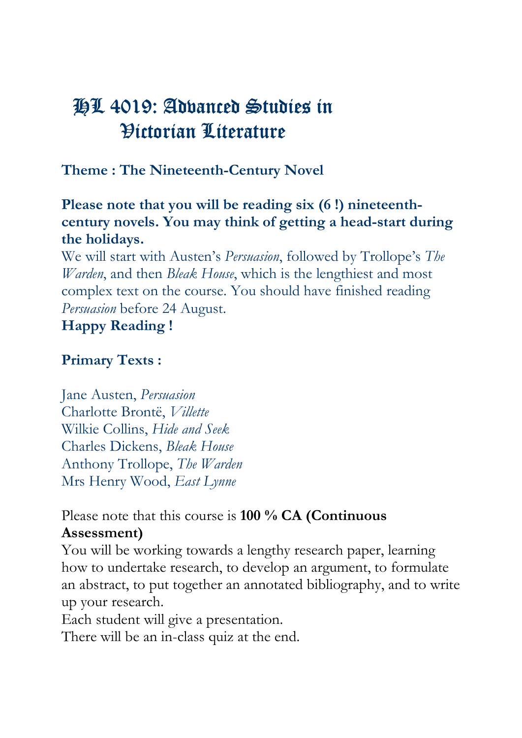# HL 4019: Advanced Studies in Victorian Literature

Theme : The Nineteenth-Century Novel

Please note that you will be reading six (6 !) nineteenthcentury novels. You may think of getting a head-start during the holidays.

We will start with Austen's Persuasion, followed by Trollope's The Warden, and then Bleak House, which is the lengthiest and most complex text on the course. You should have finished reading Persuasion before 24 August.

## Happy Reading !

#### Primary Texts :

Jane Austen, Persuasion Charlotte Brontë, Villette Wilkie Collins, Hide and Seek Charles Dickens, Bleak House Anthony Trollope, The Warden Mrs Henry Wood, East Lynne

Please note that this course is 100 % CA (Continuous Assessment)

You will be working towards a lengthy research paper, learning how to undertake research, to develop an argument, to formulate an abstract, to put together an annotated bibliography, and to write up your research.

Each student will give a presentation.

There will be an in-class quiz at the end.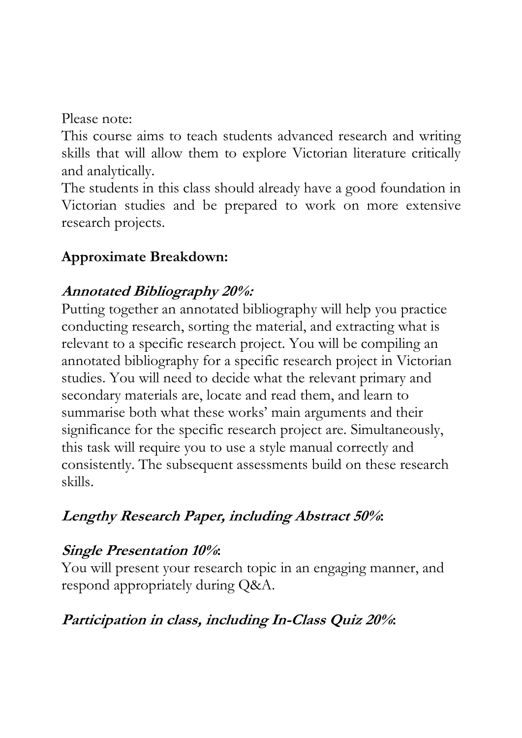Please note:

This course aims to teach students advanced research and writing skills that will allow them to explore Victorian literature critically and analytically.

The students in this class should already have a good foundation in Victorian studies and be prepared to work on more extensive research projects.

### Approximate Breakdown:

#### Annotated Bibliography 20%:

Putting together an annotated bibliography will help you practice conducting research, sorting the material, and extracting what is relevant to a specific research project. You will be compiling an annotated bibliography for a specific research project in Victorian studies. You will need to decide what the relevant primary and secondary materials are, locate and read them, and learn to summarise both what these works' main arguments and their significance for the specific research project are. Simultaneously, this task will require you to use a style manual correctly and consistently. The subsequent assessments build on these research skills.

## Lengthy Research Paper, including Abstract 50%:

## Single Presentation 10%:

You will present your research topic in an engaging manner, and respond appropriately during Q&A.

## Participation in class, including In-Class Quiz 20%: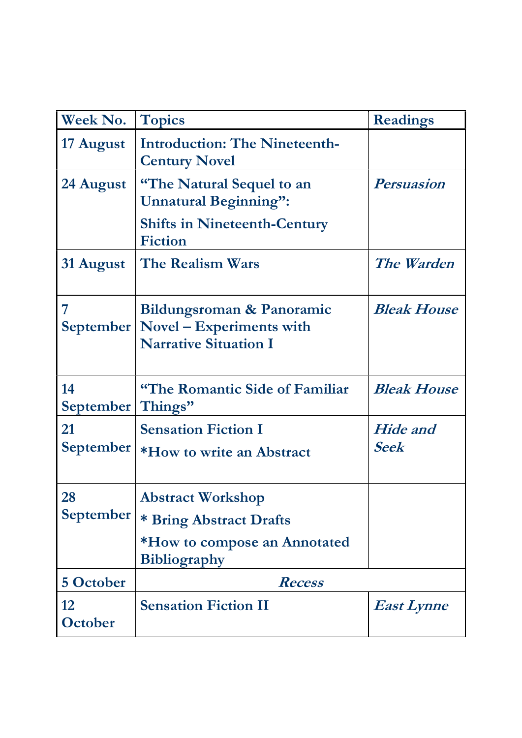| Week No.               | <b>Topics</b>                                                                                              | <b>Readings</b>                |
|------------------------|------------------------------------------------------------------------------------------------------------|--------------------------------|
| 17 August              | <b>Introduction: The Nineteenth-</b><br><b>Century Novel</b>                                               |                                |
| 24 August              | "The Natural Sequel to an<br><b>Unnatural Beginning":</b>                                                  | <b>Persuasion</b>              |
|                        | <b>Shifts in Nineteenth-Century</b><br><b>Fiction</b>                                                      |                                |
| 31 August              | The Realism Wars                                                                                           | The Warden                     |
| 7                      | Bildungsroman & Panoramic<br>September   Novel – Experiments with<br><b>Narrative Situation I</b>          | <b>Bleak House</b>             |
| 14<br>September        | "The Romantic Side of Familiar<br>Things"                                                                  | <b>Bleak House</b>             |
| 21<br>September        | <b>Sensation Fiction I</b><br>*How to write an Abstract                                                    | <b>Hide</b> and<br><b>Seek</b> |
| 28<br><b>September</b> | <b>Abstract Workshop</b><br>* Bring Abstract Drafts<br>*How to compose an Annotated<br><b>Bibliography</b> |                                |
| <b>5 October</b>       | Recess                                                                                                     |                                |
| 12<br>October          | <b>Sensation Fiction II</b>                                                                                | <b>East Lynne</b>              |